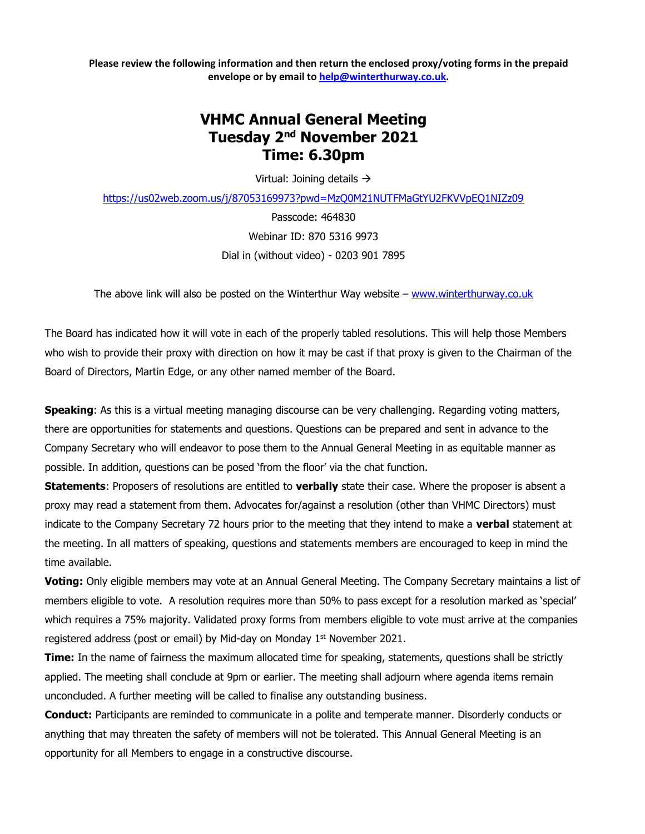**Please review the following information and then return the enclosed proxy/voting forms in the prepaid envelope or by email to [help@winterthurway.co.uk.](mailto:help@winterthurway.co.uk)**

## **VHMC Annual General Meeting Tuesday 2nd November 2021 Time: 6.30pm**

Virtual: Joining details →

<https://us02web.zoom.us/j/87053169973?pwd=MzQ0M21NUTFMaGtYU2FKVVpEQ1NIZz09>

Passcode: 464830 Webinar ID: 870 5316 9973 Dial in (without video) - 0203 901 7895

The above link will also be posted on the Winterthur Way website – [www.winterthurway.co.uk](http://www.winterthurway.co.uk/)

The Board has indicated how it will vote in each of the properly tabled resolutions. This will help those Members who wish to provide their proxy with direction on how it may be cast if that proxy is given to the Chairman of the Board of Directors, Martin Edge, or any other named member of the Board.

**Speaking**: As this is a virtual meeting managing discourse can be very challenging. Regarding voting matters, there are opportunities for statements and questions. Questions can be prepared and sent in advance to the Company Secretary who will endeavor to pose them to the Annual General Meeting in as equitable manner as possible. In addition, questions can be posed 'from the floor' via the chat function.

**Statements**: Proposers of resolutions are entitled to **verbally** state their case. Where the proposer is absent a proxy may read a statement from them. Advocates for/against a resolution (other than VHMC Directors) must indicate to the Company Secretary 72 hours prior to the meeting that they intend to make a **verbal** statement at the meeting. In all matters of speaking, questions and statements members are encouraged to keep in mind the time available.

**Voting:** Only eligible members may vote at an Annual General Meeting. The Company Secretary maintains a list of members eligible to vote. A resolution requires more than 50% to pass except for a resolution marked as 'special' which requires a 75% majority. Validated proxy forms from members eligible to vote must arrive at the companies registered address (post or email) by Mid-day on Monday  $1<sup>st</sup>$  November 2021.

**Time:** In the name of fairness the maximum allocated time for speaking, statements, questions shall be strictly applied. The meeting shall conclude at 9pm or earlier. The meeting shall adjourn where agenda items remain unconcluded. A further meeting will be called to finalise any outstanding business.

**Conduct:** Participants are reminded to communicate in a polite and temperate manner. Disorderly conducts or anything that may threaten the safety of members will not be tolerated. This Annual General Meeting is an opportunity for all Members to engage in a constructive discourse.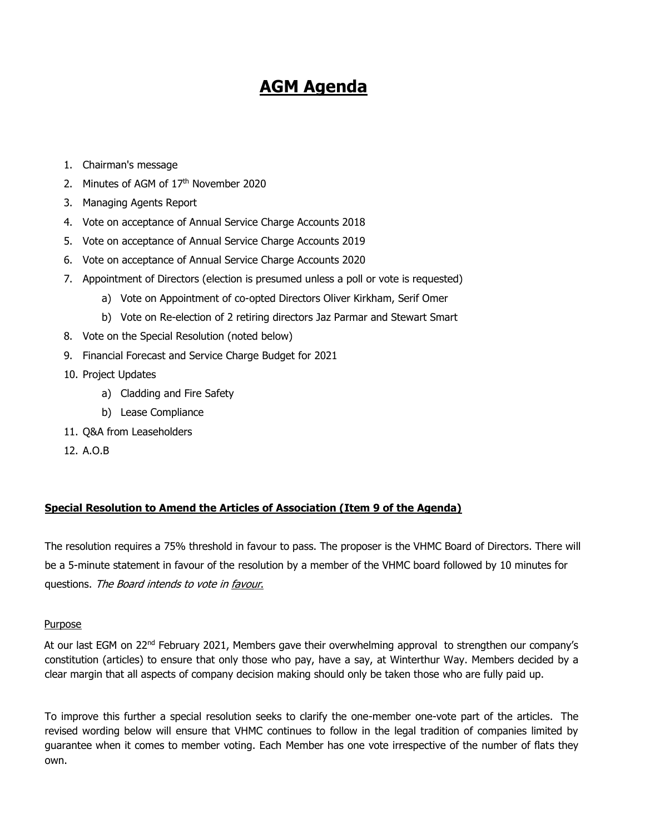# **AGM Agenda**

- 1. Chairman's message
- 2. Minutes of AGM of 17th November 2020
- 3. Managing Agents Report
- 4. Vote on acceptance of Annual Service Charge Accounts 2018
- 5. Vote on acceptance of Annual Service Charge Accounts 2019
- 6. Vote on acceptance of Annual Service Charge Accounts 2020
- 7. Appointment of Directors (election is presumed unless a poll or vote is requested)
	- a) Vote on Appointment of co-opted Directors Oliver Kirkham, Serif Omer
	- b) Vote on Re-election of 2 retiring directors Jaz Parmar and Stewart Smart
- 8. Vote on the Special Resolution (noted below)
- 9. Financial Forecast and Service Charge Budget for 2021
- 10. Project Updates
	- a) Cladding and Fire Safety
	- b) Lease Compliance
- 11. Q&A from Leaseholders
- 12. A.O.B

#### **Special Resolution to Amend the Articles of Association (Item 9 of the Agenda)**

The resolution requires a 75% threshold in favour to pass. The proposer is the VHMC Board of Directors. There will be a 5-minute statement in favour of the resolution by a member of the VHMC board followed by 10 minutes for questions. The Board intends to vote in favour.

#### Purpose

At our last EGM on 22<sup>nd</sup> February 2021, Members gave their overwhelming approval to strengthen our company's constitution (articles) to ensure that only those who pay, have a say, at Winterthur Way. Members decided by a clear margin that all aspects of company decision making should only be taken those who are fully paid up.

To improve this further a special resolution seeks to clarify the one-member one-vote part of the articles. The revised wording below will ensure that VHMC continues to follow in the legal tradition of companies limited by guarantee when it comes to member voting. Each Member has one vote irrespective of the number of flats they own.